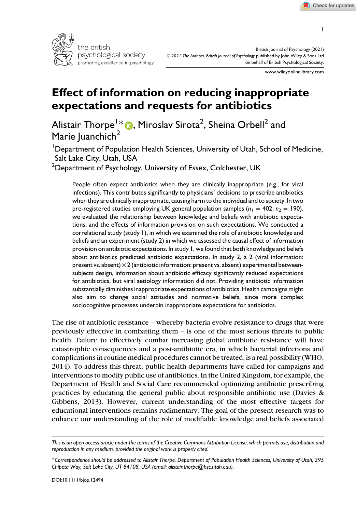

British Journal of Psychology (2021) © 2021 The Authors. British Journal of Psychology published by John Wiley & Sons Ltd on behalf of British Psychological Society.

www.wileyonlinelibrary.com

# Effect of information on reducing inappropriate expectations and requests for antibiotics

Alistair Thorpe $^{1\ast}$  ( ), Miroslav Sirota $^{2}$ , Sheina Orbell $^{2}$  and Marie Iuanchich<sup>2</sup>

<sup>1</sup>Department of Population Health Sciences, University of Utah, School of Medicine, Salt Lake City, Utah, USA

 $^{\rm 2}$ Department of Psychology, University of Essex, Colchester, UK

People often expect antibiotics when they are clinically inappropriate (e.g., for viral infections). This contributes significantly to physicians' decisions to prescribe antibiotics when they are clinically inappropriate, causing harm to the individual and to society. In two pre-registered studies employing UK general population samples ( $n_1 = 402$ ;  $n_2 = 190$ ), we evaluated the relationship between knowledge and beliefs with antibiotic expectations, and the effects of information provision on such expectations. We conducted a correlational study (study 1), in which we examined the role of antibiotic knowledge and beliefs and an experiment (study 2) in which we assessed the causal effect of information provision on antibiotic expectations. In study 1, we found that both knowledge and beliefs about antibiotics predicted antibiotic expectations. In study 2, a 2 (viral information: present vs. absent)  $\times$  2 (antibiotic information: present vs. absent) experimental betweensubjects design, information about antibiotic efficacy significantly reduced expectations for antibiotics, but viral aetiology information did not. Providing antibiotic information substantially diminishes inappropriate expectations of antibiotics. Health campaigns might also aim to change social attitudes and normative beliefs, since more complex sociocognitive processes underpin inappropriate expectations for antibiotics.

The rise of antibiotic resistance – whereby bacteria evolve resistance to drugs that were previously effective in combatting them – is one of the most serious threats to public health. Failure to effectively combat increasing global antibiotic resistance will have catastrophic consequences and a post-antibiotic era, in which bacterial infections and complications in routine medical procedures cannot be treated, is a real possibility (WHO, 2014). To address this threat, public health departments have called for campaigns and interventions to modify public use of antibiotics. In the United Kingdom, for example, the Department of Health and Social Care recommended optimizing antibiotic prescribing practices by educating the general public about responsible antibiotic use (Davies & Gibbens, 2013). However, current understanding of the most effective targets for educational interventions remains rudimentary. The goal of the present research was to enhance our understanding of the role of modifiable knowledge and beliefs associated

This is an open access article under the terms of the [Creative Commons Attribution](http://creativecommons.org/licenses/by/4.0/) License, which permits use, distribution and reproduction in any medium, provided the original work is properly cited.

<sup>\*</sup>Correspondence should be addressed to Alistair Thorpe, Department of Population Health Sciences, University of Utah, 295 Chipeta Way, Salt Lake City, UT 84108, USA (email: [alistair.thorpe@hsc.utah.edu\)](mailto:).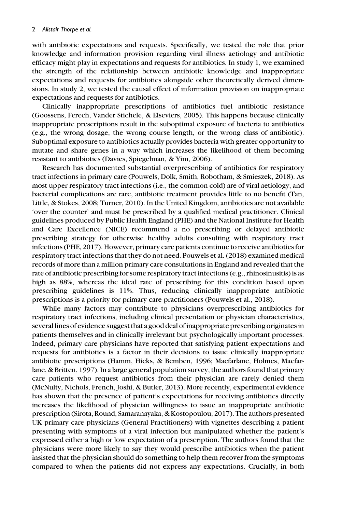with antibiotic expectations and requests. Specifically, we tested the role that prior knowledge and information provision regarding viral illness aetiology and antibiotic efficacy might play in expectations and requests for antibiotics. In study 1, we examined the strength of the relationship between antibiotic knowledge and inappropriate expectations and requests for antibiotics alongside other theoretically derived dimensions. In study 2, we tested the causal effect of information provision on inappropriate expectations and requests for antibiotics.

Clinically inappropriate prescriptions of antibiotics fuel antibiotic resistance (Goossens, Ferech, Vander Stichele, & Elseviers, 2005). This happens because clinically inappropriate prescriptions result in the suboptimal exposure of bacteria to antibiotics (e.g., the wrong dosage, the wrong course length, or the wrong class of antibiotic). Suboptimal exposure to antibiotics actually provides bacteria with greater opportunity to mutate and share genes in a way which increases the likelihood of them becoming resistant to antibiotics (Davies, Spiegelman, & Yim, 2006).

Research has documented substantial overprescribing of antibiotics for respiratory tract infections in primary care (Pouwels, Dolk, Smith, Robotham, & Smieszek, 2018). As most upper respiratory tract infections (i.e., the common cold) are of viral aetiology, and bacterial complications are rare, antibiotic treatment provides little to no benefit (Tan, Little, & Stokes, 2008; Turner, 2010). In the United Kingdom, antibiotics are not available 'over the counter' and must be prescribed by a qualified medical practitioner. Clinical guidelines produced by Public Health England (PHE) and the National Institute for Health and Care Excellence (NICE) recommend a no prescribing or delayed antibiotic prescribing strategy for otherwise healthy adults consulting with respiratory tract infections (PHE, 2017). However, primary care patients continue to receive antibiotics for respiratory tract infections that they do not need. Pouwels et al. (2018) examined medical records of more than a million primary care consultations in England and revealed that the rate of antibiotic prescribing for some respiratory tract infections (e.g., rhinosinusitis) is as high as 88%, whereas the ideal rate of prescribing for this condition based upon prescribing guidelines is 11%. Thus, reducing clinically inappropriate antibiotic prescriptions is a priority for primary care practitioners (Pouwels et al., 2018).

While many factors may contribute to physicians overprescribing antibiotics for respiratory tract infections, including clinical presentation or physician characteristics, several lines of evidence suggest that a good deal of inappropriate prescribing originates in patients themselves and in clinically irrelevant but psychologically important processes. Indeed, primary care physicians have reported that satisfying patient expectations and requests for antibiotics is a factor in their decisions to issue clinically inappropriate antibiotic prescriptions (Hamm, Hicks, & Bemben, 1996; Macfarlane, Holmes, Macfarlane, & Britten, 1997). In a large general population survey, the authors found that primary care patients who request antibiotics from their physician are rarely denied them (McNulty, Nichols, French, Joshi, & Butler, 2013). More recently, experimental evidence has shown that the presence of patient's expectations for receiving antibiotics directly increases the likelihood of physician willingness to issue an inappropriate antibiotic prescription (Sirota, Round, Samaranayaka, & Kostopoulou, 2017). The authors presented UK primary care physicians (General Practitioners) with vignettes describing a patient presenting with symptoms of a viral infection but manipulated whether the patient's expressed either a high or low expectation of a prescription. The authors found that the physicians were more likely to say they would prescribe antibiotics when the patient insisted that the physician should do something to help them recover from the symptoms compared to when the patients did not express any expectations. Crucially, in both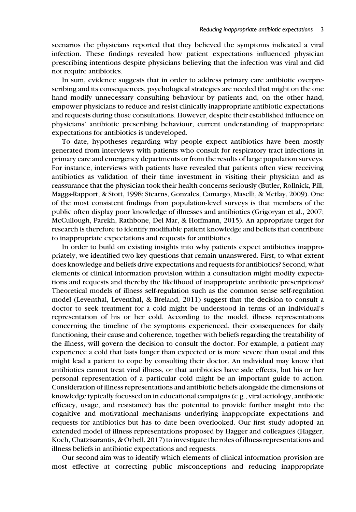scenarios the physicians reported that they believed the symptoms indicated a viral infection. These findings revealed how patient expectations influenced physician prescribing intentions despite physicians believing that the infection was viral and did not require antibiotics.

In sum, evidence suggests that in order to address primary care antibiotic overprescribing and its consequences, psychological strategies are needed that might on the one hand modify unnecessary consulting behaviour by patients and, on the other hand, empower physicians to reduce and resist clinically inappropriate antibiotic expectations and requests during those consultations. However, despite their established influence on physicians' antibiotic prescribing behaviour, current understanding of inappropriate expectations for antibiotics is undeveloped.

To date, hypotheses regarding why people expect antibiotics have been mostly generated from interviews with patients who consult for respiratory tract infections in primary care and emergency departments or from the results of large population surveys. For instance, interviews with patients have revealed that patients often view receiving antibiotics as validation of their time investment in visiting their physician and as reassurance that the physician took their health concerns seriously (Butler, Rollnick, Pill, Maggs-Rapport, & Stott, 1998; Stearns, Gonzales, Camargo, Maselli, & Metlay, 2009). One of the most consistent findings from population-level surveys is that members of the public often display poor knowledge of illnesses and antibiotics (Grigoryan et al., 2007; McCullough, Parekh, Rathbone, Del Mar, & Hoffmann, 2015). An appropriate target for research is therefore to identify modifiable patient knowledge and beliefs that contribute to inappropriate expectations and requests for antibiotics.

In order to build on existing insights into why patients expect antibiotics inappropriately, we identified two key questions that remain unanswered. First, to what extent does knowledge and beliefs drive expectations and requests for antibiotics? Second, what elements of clinical information provision within a consultation might modify expectations and requests and thereby the likelihood of inappropriate antibiotic prescriptions? Theoretical models of illness self-regulation such as the common sense self-regulation model (Leventhal, Leventhal, & Breland, 2011) suggest that the decision to consult a doctor to seek treatment for a cold might be understood in terms of an individual's representation of his or her cold. According to the model, illness representations concerning the timeline of the symptoms experienced, their consequences for daily functioning, their cause and coherence, together with beliefs regarding the treatability of the illness, will govern the decision to consult the doctor. For example, a patient may experience a cold that lasts longer than expected or is more severe than usual and this might lead a patient to cope by consulting their doctor. An individual may know that antibiotics cannot treat viral illness, or that antibiotics have side effects, but his or her personal representation of a particular cold might be an important guide to action. Consideration of illness representations and antibiotic beliefs alongside the dimensions of knowledge typically focussed on in educational campaigns (e.g., viral aetiology, antibiotic efficacy, usage, and resistance) has the potential to provide further insight into the cognitive and motivational mechanisms underlying inappropriate expectations and requests for antibiotics but has to date been overlooked. Our first study adopted an extended model of illness representations proposed by Hagger and colleagues (Hagger, Koch, Chatzisarantis, & Orbell, 2017) to investigate the roles of illness representations and illness beliefs in antibiotic expectations and requests.

Our second aim was to identify which elements of clinical information provision are most effective at correcting public misconceptions and reducing inappropriate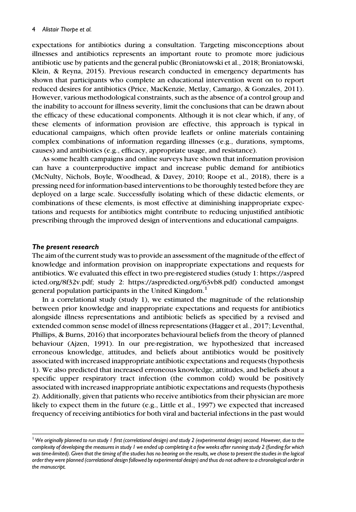expectations for antibiotics during a consultation. Targeting misconceptions about illnesses and antibiotics represents an important route to promote more judicious antibiotic use by patients and the general public (Broniatowski et al., 2018; Broniatowski, Klein, & Reyna, 2015). Previous research conducted in emergency departments has shown that participants who complete an educational intervention went on to report reduced desires for antibiotics (Price, MacKenzie, Metlay, Camargo, & Gonzales, 2011). However, various methodological constraints, such as the absence of a control group and the inability to account for illness severity, limit the conclusions that can be drawn about the efficacy of these educational components. Although it is not clear which, if any, of these elements of information provision are effective, this approach is typical in educational campaigns, which often provide leaflets or online materials containing complex combinations of information regarding illnesses (e.g., durations, symptoms, causes) and antibiotics (e.g., efficacy, appropriate usage, and resistance).

As some health campaigns and online surveys have shown that information provision can have a counterproductive impact and increase public demand for antibiotics (McNulty, Nichols, Boyle, Woodhead, & Davey, 2010; Roope et al., 2018), there is a pressing need for information-based interventions to be thoroughly tested before they are deployed on a large scale. Successfully isolating which of these didactic elements, or combinations of these elements, is most effective at diminishing inappropriate expectations and requests for antibiotics might contribute to reducing unjustified antibiotic prescribing through the improved design of interventions and educational campaigns.

#### The present research

The aim of the current study was to provide an assessment of the magnitude of the effect of knowledge and information provision on inappropriate expectations and requests for antibiotics. We evaluated this effect in two pre-registered studies (study 1: [https://aspred](https://aspredicted.org/8f32v.pdf) [icted.org/8f32v.pdf;](https://aspredicted.org/8f32v.pdf) study 2:<https://aspredicted.org/63vb8.pdf>) conducted amongst general population participants in the United Kingdom.<sup>1</sup>

In a correlational study (study 1), we estimated the magnitude of the relationship between prior knowledge and inappropriate expectations and requests for antibiotics alongside illness representations and antibiotic beliefs as specified by a revised and extended common sense model of illness representations (Hagger et al., 2017; Leventhal, Phillips, & Burns, 2016) that incorporates behavioural beliefs from the theory of planned behaviour (Ajzen, 1991). In our pre-registration, we hypothesized that increased erroneous knowledge, attitudes, and beliefs about antibiotics would be positively associated with increased inappropriate antibiotic expectations and requests (hypothesis 1). We also predicted that increased erroneous knowledge, attitudes, and beliefs about a specific upper respiratory tract infection (the common cold) would be positively associated with increased inappropriate antibiotic expectations and requests (hypothesis 2). Additionally, given that patients who receive antibiotics from their physician are more likely to expect them in the future (e.g., Little et al., 1997) we expected that increased frequency of receiving antibiotics for both viral and bacterial infections in the past would

<sup>&</sup>lt;sup>1</sup> We originally planned to run study 1 first (correlational design) and study 2 (experimental design) second. However, due to the complexity of developing the measures in study 1 we ended up completing it a few weeks after running study 2 (funding for which was time-limited). Given that the timing of the studies has no bearing on the results, we chose to present the studies in the logical order they were planned (correlational design followed by experimental design) and thus do not adhere to a chronological order in the manuscript.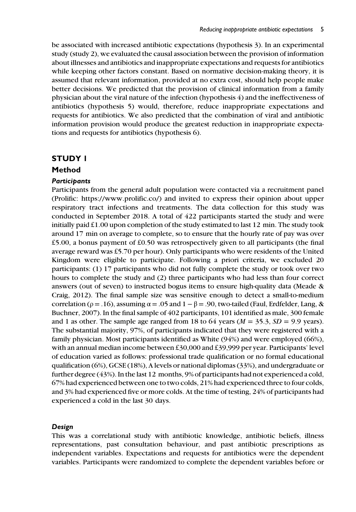be associated with increased antibiotic expectations (hypothesis 3). In an experimental study (study 2), we evaluated the causal association between the provision of information about illnesses and antibiotics and inappropriate expectations and requests for antibiotics while keeping other factors constant. Based on normative decision-making theory, it is assumed that relevant information, provided at no extra cost, should help people make better decisions. We predicted that the provision of clinical information from a family physician about the viral nature of the infection (hypothesis 4) and the ineffectiveness of antibiotics (hypothesis 5) would, therefore, reduce inappropriate expectations and requests for antibiotics. We also predicted that the combination of viral and antibiotic information provision would produce the greatest reduction in inappropriate expectations and requests for antibiotics (hypothesis 6).

# STUDY 1

# Method

## **Participants**

Participants from the general adult population were contacted via a recruitment panel (Prolific: [https://www.prolific.co/\)](https://www.prolific.co/) and invited to express their opinion about upper respiratory tract infections and treatments. The data collection for this study was conducted in September 2018. A total of 422 participants started the study and were initially paid £1.00 upon completion of the study estimated to last 12 min. The study took around 17 min on average to complete, so to ensure that the hourly rate of pay was over £5.00, a bonus payment of £0.50 was retrospectively given to all participants (the final average reward was £5.70 per hour). Only participants who were residents of the United Kingdom were eligible to participate. Following a priori criteria, we excluded 20 participants: (1) 17 participants who did not fully complete the study or took over two hours to complete the study and (2) three participants who had less than four correct answers (out of seven) to instructed bogus items to ensure high-quality data (Meade & Craig, 2012). The final sample size was sensitive enough to detect a small-to-medium correlation ( $\rho = .16$ ), assuming  $\alpha = .05$  and  $1 - \beta = .90$ , two-tailed (Faul, Erdfelder, Lang, & Buchner, 2007). In the final sample of 402 participants, 101 identified as male, 300 female and 1 as other. The sample age ranged from 18 to 64 years ( $M = 35.3$ ,  $SD = 9.9$  years). The substantial majority, 97%, of participants indicated that they were registered with a family physician. Most participants identified as White (94%) and were employed (66%), with an annual median income between £30,000 and £39,999 per year. Participants' level of education varied as follows: professional trade qualification or no formal educational qualification (6%), GCSE (18%), A levels or national diplomas (33%), and undergraduate or further degree (43%). In the last 12 months, 9% of participants had not experienced a cold, 67% had experienced between one to two colds, 21% had experienced three to four colds, and 3% had experienced five or more colds. At the time of testing, 24% of participants had experienced a cold in the last 30 days.

## Design

This was a correlational study with antibiotic knowledge, antibiotic beliefs, illness representations, past consultation behaviour, and past antibiotic prescriptions as independent variables. Expectations and requests for antibiotics were the dependent variables. Participants were randomized to complete the dependent variables before or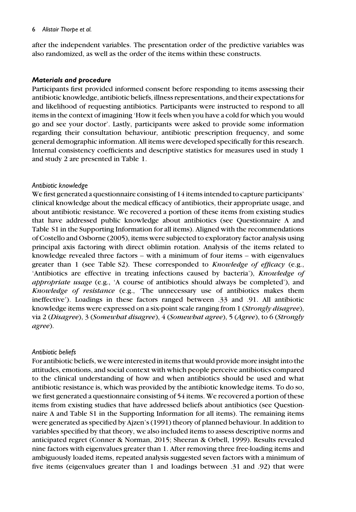#### 6 Alistair Thorpe et al.

after the independent variables. The presentation order of the predictive variables was also randomized, as well as the order of the items within these constructs.

#### Materials and procedure

Participants first provided informed consent before responding to items assessing their antibiotic knowledge, antibiotic beliefs, illness representations, and their expectations for and likelihood of requesting antibiotics. Participants were instructed to respond to all items in the context of imagining 'How it feels when you have a cold for which you would go and see your doctor'. Lastly, participants were asked to provide some information regarding their consultation behaviour, antibiotic prescription frequency, and some general demographic information. All items were developed specifically for this research. Internal consistency coefficients and descriptive statistics for measures used in study 1 and study 2 are presented in Table 1.

## Antibiotic knowledge

We first generated a questionnaire consisting of 14 items intended to capture participants' clinical knowledge about the medical efficacy of antibiotics, their appropriate usage, and about antibiotic resistance. We recovered a portion of these items from existing studies that have addressed public knowledge about antibiotics (see Questionnaire A and Table S1 in the Supporting Information for all items). Aligned with the recommendations of Costello and Osborne (2005), items were subjected to exploratory factor analysis using principal axis factoring with direct oblimin rotation. Analysis of the items related to knowledge revealed three factors – with a minimum of four items – with eigenvalues greater than 1 (see Table S2). These corresponded to Knowledge of efficacy (e.g., 'Antibiotics are effective in treating infections caused by bacteria'), Knowledge of *appropriate usage* (e.g.,  $A$  course of antibiotics should always be completed'), and Knowledge of resistance (e.g., 'The unnecessary use of antibiotics makes them ineffective'). Loadings in these factors ranged between .33 and .91. All antibiotic knowledge items were expressed on a six-point scale ranging from 1 *(Strongly disagree)*, via 2 (Disagree), 3 (Somewhat disagree), 4 (Somewhat agree), 5 (Agree), to 6 (Strongly agree).

## Antibiotic beliefs

For antibiotic beliefs, we were interested in items that would provide more insight into the attitudes, emotions, and social context with which people perceive antibiotics compared to the clinical understanding of how and when antibiotics should be used and what antibiotic resistance is, which was provided by the antibiotic knowledge items. To do so, we first generated a questionnaire consisting of 54 items. We recovered a portion of these items from existing studies that have addressed beliefs about antibiotics (see Questionnaire A and Table S1 in the Supporting Information for all items). The remaining items were generated as specified by Ajzen's (1991) theory of planned behaviour. In addition to variables specified by that theory, we also included items to assess descriptive norms and anticipated regret (Conner & Norman, 2015; Sheeran & Orbell, 1999). Results revealed nine factors with eigenvalues greater than 1. After removing three free-loading items and ambiguously loaded items, repeated analysis suggested seven factors with a minimum of five items (eigenvalues greater than 1 and loadings between .31 and .92) that were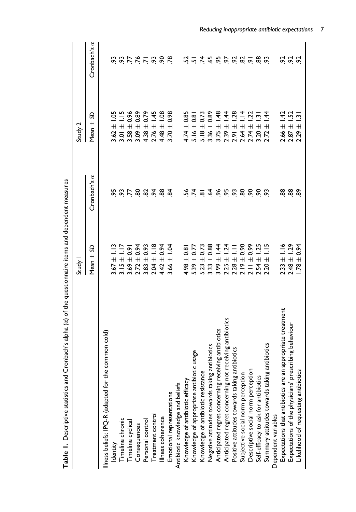|                                                               | Study                                         |              | Study 2                                   |                     |
|---------------------------------------------------------------|-----------------------------------------------|--------------|-------------------------------------------|---------------------|
|                                                               | Mean $\pm$ SD                                 | Cronbach's a | S<br>$\overline{+}$<br>Mean:              | Cronbach's $\alpha$ |
| common cold)<br>Illness beliefs: IPQ-R (adapted for the       |                                               |              |                                           |                     |
| Identity                                                      | $\tilde{=}$<br>$3.67 \pm$                     | 95           | $\frac{50}{2}$<br>$3.62 \pm$              |                     |
| Timeline chronic                                              | $3.15 \pm 1.17$                               |              | $\frac{1}{2}$<br>$3.01 \pm$               |                     |
| Timeline cyclical                                             | $\pm 0.91$<br>3.69                            |              | 0.96<br>$\overline{+}$<br>3.58            |                     |
| Consequences                                                  | $+9.94$<br>2.72                               |              | 0.89<br>$\overline{+}$<br>3.09            |                     |
| Personal control                                              | $\pm 0.93$<br>3.83                            | 55887887     | 0.79<br>$\overline{+}$<br>4.38            | <b>88555888</b>     |
| Treatment control                                             | $\frac{8}{1}$<br>$2.04 \pm$                   |              | 1.45<br>$\overline{+}$<br>2.76            |                     |
| Illness coherence                                             | $\pm 0.94$<br>$4.42 =$                        |              | $\frac{80}{1}$<br>4.48                    |                     |
| Emotional representations                                     | $\overline{5}$<br>$\overline{+}$<br>3.66      |              | 0.98<br>$\overline{+}$<br>3.70            |                     |
| Antibiotic knowledge and beliefs                              |                                               |              |                                           |                     |
| Knowledge of antibiotic efficacy                              | $\pm 0.8$<br>4.98                             | చ            | 0.85<br>$\overline{+}$<br>4.74            |                     |
| Knowledge of appropriate antibiotic usage                     | $5.39 \pm 0.7$                                |              | $\frac{8}{10}$<br>$5.16 \pm 0.00$         |                     |
| Knowledge of antibiotic resistance                            | $\pm 0.73$<br>5.23                            |              | 0.73<br>$\overline{+}$<br>5.18            |                     |
| Negative attitudes towards taking antibiotics                 | $\pm 0.88$<br>3.33                            | 722          | 0.89<br>$3.36 \pm$                        | 7.7798888888        |
| Anticipated regret concerning receiving antibiotics           | $\pm$ 1.44<br>3.99                            |              | 48<br>$\overline{+}$<br>3.75              |                     |
| Anticipated regret concerning not receiving antibiotics       | 1.24<br>$2.25 \pm$                            |              | $\dot{4}$<br>$\overline{+}$<br>2.39       |                     |
| Positive attitudes towards taking antibiotics                 | $\frac{1}{1}$<br>2.28                         |              | 28<br>$\overline{+}$<br>2.91              |                     |
| Subjective social norm perception                             | $\pm 0.90$<br>2.19                            |              | $\frac{4}{1}$<br>$\overline{+}$<br>2.64   |                     |
| Descriptive social norm perception                            | 0.99<br>$2.11 \pm 0$                          | ್ಲಿ 8        | $\ddot{5}$<br>$\overline{+}$<br>.74       |                     |
| Self-efficacy to ask for antibiotics                          | 1.25<br>$\overline{+}$<br>2.54                |              | ن<br>$\overline{+}$<br>3.20               |                     |
| Summary attitudes towards taking antibiotics                  | $\frac{1}{2}$<br>$\overline{+}$<br><b>220</b> | င္ပ          | $-44$<br>$\overline{+}$<br>2.72           |                     |
| Dependent variables                                           |                                               |              |                                           |                     |
| appropriate treatment<br>Expectations that antibiotics are an | $2.33 \pm 1.16$                               | 88           | $2.66 \pm 1.42$                           |                     |
| Expectations of the physicians' prescribing behaviour         | $2.48 \pm 1.29$                               | 88           | 1.52<br>$\frac{1}{1}$<br>2.87             | 8 8 8               |
| Likelihood of requesting antibiotics                          | $-1.78 \pm 0.94$                              | န္ၿ          | $\overline{13}$<br>$\overline{+}$<br>2.29 |                     |
|                                                               |                                               |              |                                           |                     |

Table 1. Descriptive statistics and Cronbach's alpha (a) of the questionnaire items and dependent measures Table 1. Descriptive statistics and Cronbach's alpha (α) of the questionnaire items and dependent measures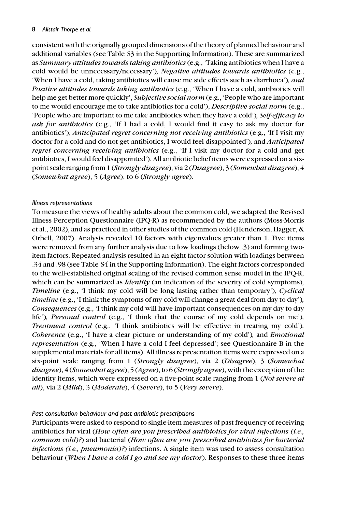#### 8 Alistair Thorpe et al.

consistent with the originally grouped dimensions of the theory of planned behaviour and additional variables (see Table S3 in the Supporting Information). These are summarized as Summary attitudes towards taking antibiotics(e.g., 'Taking antibiotics when I have a cold would be unnecessary/necessary'), Negative attitudes towards antibiotics (e.g., 'When I have a cold, taking antibiotics will cause me side effects such as diarrhoea'), and Positive attitudes towards taking antibiotics (e.g., 'When I have a cold, antibiotics will help me get better more quickly', Subjective social norm (e.g., 'People who are important to me would encourage me to take antibiotics for a cold'), Descriptive social norm (e.g., 'People who are important to me take antibiotics when they have a cold'), Self-efficacy to ask for antibiotics (e.g., 'If I had a cold, I would find it easy to ask my doctor for antibiotics'), Anticipated regret concerning not receiving antibiotics (e.g., 'If I visit my doctor for a cold and do not get antibiotics, I would feel disappointed'), and Anticipated regret concerning receiving antibiotics (e.g., 'If I visit my doctor for a cold and get antibiotics, I would feel disappointed'). All antibiotic belief items were expressed on a sixpoint scale ranging from 1 (Strongly disagree), via 2 (Disagree), 3 (Somewhat disagree), 4 (Somewhat agree), 5 (Agree), to 6 (Strongly agree).

## Illness representations

To measure the views of healthy adults about the common cold, we adapted the Revised Illness Perception Questionnaire (IPQ-R) as recommended by the authors (Moss-Morris et al., 2002), and as practiced in other studies of the common cold (Henderson, Hagger, & Orbell, 2007). Analysis revealed 10 factors with eigenvalues greater than 1. Five items were removed from any further analysis due to low loadings (below .3) and forming twoitem factors. Repeated analysis resulted in an eight-factor solution with loadings between .34 and .98 (see Table S4 in the Supporting Information). The eight factors corresponded to the well-established original scaling of the revised common sense model in the IPQ-R, which can be summarized as *Identity* (an indication of the severity of cold symptoms), Timeline (e.g., 'I think my cold will be long lasting rather than temporary'), Cyclical timeline (e.g., 'I think the symptoms of my cold will change a great deal from day to day'), Consequences (e.g., 'I think my cold will have important consequences on my day to day life'), Personal control (e.g., 'I think that the course of my cold depends on me'), Treatment control (e.g., 'I think antibiotics will be effective in treating my cold'), Coherence (e.g., 'I have a clear picture or understanding of my cold'), and *Emotional* representation (e.g., 'When I have a cold I feel depressed'; see Questionnaire B in the supplemental materials for all items). All illness representation items were expressed on a six-point scale ranging from 1 (Strongly disagree), via 2 (Disagree), 3 (Somewhat *disagree*),  $4$  (*Somewhat agree*),  $5$  (*Agree*), to 6 (*Strongly agree*), with the exception of the identity items, which were expressed on a five-point scale ranging from 1 (Not severe at all), via 2 (Mild), 3 (Moderate), 4 (Severe), to 5 (Very severe).

#### Past consultation behaviour and past antibiotic prescriptions

Participants were asked to respond to single-item measures of past frequency of receiving antibiotics for viral (How often are you prescribed antibiotics for viral infections (i.e., common cold)?) and bacterial (How often are you prescribed antibiotics for bacterial  $infections$  (i.e., pneumonia)?) infections. A single item was used to assess consultation behaviour *(When I have a cold I go and see my doctor)*. Responses to these three items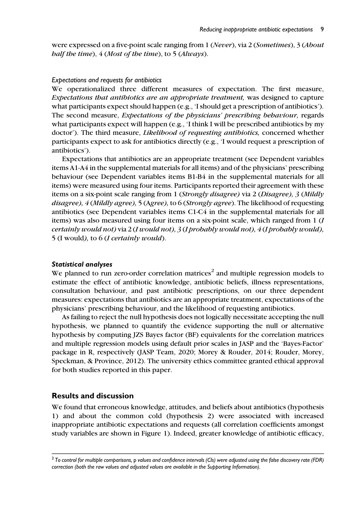were expressed on a five-point scale ranging from 1 (Never), via 2 (Sometimes), 3 (About half the time), 4 (Most of the time), to 5 (Always).

#### Expectations and requests for antibiotics

We operationalized three different measures of expectation. The first measure, Expectations that antibiotics are an appropriate treatment, was designed to capture what participants expect should happen (e.g., 'I should get a prescription of antibiotics'). The second measure, Expectations of the physicians' prescribing behaviour, regards what participants expect will happen (e.g., 'I think I will be prescribed antibiotics by my doctor'). The third measure, *Likelihood of requesting antibiotics*, concerned whether participants expect to ask for antibiotics directly (e.g., 'I would request a prescription of antibiotics').

Expectations that antibiotics are an appropriate treatment (see Dependent variables items A1-A4 in the supplemental materials for all items) and of the physicians' prescribing behaviour (see Dependent variables items B1-B4 in the supplemental materials for all items) were measured using four items. Participants reported their agreement with these items on a six-point scale ranging from 1 (Strongly disagree) via 2 (Disagree), 3 (Mildly disagree), 4 (Mildly agree), 5 (Agree), to 6 (Strongly agree). The likelihood of requesting antibiotics (see Dependent variables items C1-C4 in the supplemental materials for all items) was also measured using four items on a six-point scale, which ranged from 1 (I certainly would not) via 2 (I would not), 3 (I probably would not), 4 (I probably would), 5 (I would), to 6 (I certainly would).

## Statistical analyses

We planned to run zero-order correlation matrices<sup>2</sup> and multiple regression models to estimate the effect of antibiotic knowledge, antibiotic beliefs, illness representations, consultation behaviour, and past antibiotic prescriptions, on our three dependent measures: expectations that antibiotics are an appropriate treatment, expectations of the physicians' prescribing behaviour, and the likelihood of requesting antibiotics.

As failing to reject the null hypothesis does not logically necessitate accepting the null hypothesis, we planned to quantify the evidence supporting the null or alternative hypothesis by computing JZS Bayes factor (BF) equivalents for the correlation matrices and multiple regression models using default prior scales in JASP and the 'Bayes-Factor' package in R, respectively (JASP Team, 2020; Morey & Rouder, 2014; Rouder, Morey, Speckman, & Province, 2012). The university ethics committee granted ethical approval for both studies reported in this paper.

# Results and discussion

We found that erroneous knowledge, attitudes, and beliefs about antibiotics (hypothesis 1) and about the common cold (hypothesis 2) were associated with increased inappropriate antibiotic expectations and requests (all correlation coefficients amongst study variables are shown in Figure 1). Indeed, greater knowledge of antibiotic efficacy,

 $2$  To control for multiple comparisons, p values and confidence intervals (Cls) were adjusted using the false discovery rate (FDR) correction (both the raw values and adjusted values are available in the Supporting Information).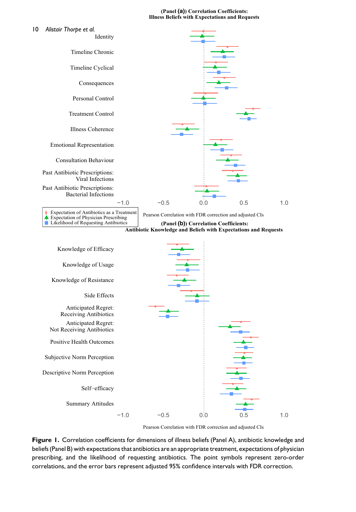#### **(Panel (a)) Correlation Coefficients: Illness Beliefs with Expectations and Requests**



Figure 1. Correlation coefficients for dimensions of illness beliefs (Panel A), antibiotic knowledge and beliefs (Panel B) with expectations that antibiotics are an appropriate treatment, expectations of physician prescribing, and the likelihood of requesting antibiotics. The point symbols represent zero-order correlations, and the error bars represent adjusted 95% confidence intervals with FDR correction.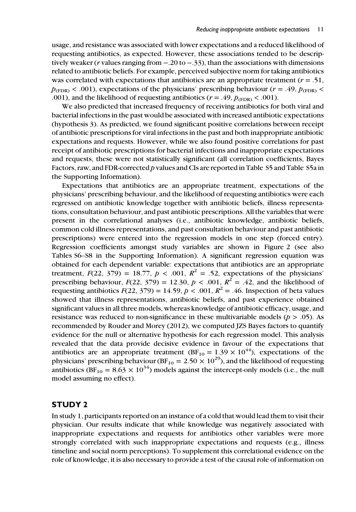usage, and resistance was associated with lower expectations and a reduced likelihood of requesting antibiotics, as expected. However, these associations tended to be descriptively weaker (*r* values ranging from  $-.20$  to  $-.33$ ), than the associations with dimensions related to antibiotic beliefs. For example, perceived subjective norm for taking antibiotics was correlated with expectations that antibiotics are an appropriate treatment ( $r = .51$ ,  $p_{\text{CFDR}} < .001$ ), expectations of the physicians' prescribing behaviour ( $r = .49$ ,  $p_{\text{CFDR}} <$ .001), and the likelihood of requesting antibiotics ( $r = .49$ ,  $p_{(\text{FDR})} < .001$ ).

We also predicted that increased frequency of receiving antibiotics for both viral and bacterial infections in the past would be associated with increased antibiotic expectations (hypothesis 3). As predicted, we found significant positive correlations between receipt of antibiotic prescriptions for viral infections in the past and both inappropriate antibiotic expectations and requests. However, while we also found positive correlations for past receipt of antibiotic prescriptions for bacterial infections and inappropriate expectations and requests, these were not statistically significant (all correlation coefficients, Bayes Factors, raw, and FDR-corrected p values and CIs are reported in Table S5 and Table S5a in the Supporting Information).

Expectations that antibiotics are an appropriate treatment, expectations of the physicians' prescribing behaviour, and the likelihood of requesting antibiotics were each regressed on antibiotic knowledge together with antibiotic beliefs, illness representations, consultation behaviour, and past antibiotic prescriptions. All the variables that were present in the correlational analyses (i.e., antibiotic knowledge, antibiotic beliefs, common cold illness representations, and past consultation behaviour and past antibiotic prescriptions) were entered into the regression models in one step (forced entry). Regression coefficients amongst study variables are shown in Figure 2 (see also Tables S6–S8 in the Supporting Information). A significant regression equation was obtained for each dependent variable: expectations that antibiotics are an appropriate treatment,  $F(22, 379) = 18.77$ ,  $p < .001$ ,  $R^2 = .52$ , expectations of the physicians' prescribing behaviour,  $F(22, 379) = 12.30$ ,  $p < .001$ ,  $R^2 = .42$ , and the likelihood of requesting antibiotics  $F(22, 379) = 14.59$ ,  $p < .001$ ,  $R^2 = .46$ . Inspection of beta values showed that illness representations, antibiotic beliefs, and past experience obtained significant values in all three models, whereas knowledge of antibiotic efficacy, usage, and resistance was reduced to non-significance in these multivariable models ( $p > .05$ ). As recommended by Rouder and Morey (2012), we computed JZS Bayes factors to quantify evidence for the null or alternative hypothesis for each regression model. This analysis revealed that the data provide decisive evidence in favour of the expectations that antibiotics are an appropriate treatment (BF<sub>10</sub> = 1.39  $\times$  10<sup>44</sup>), expectations of the physicians' prescribing behaviour (BF<sub>10</sub> = 2.50  $\times$  10<sup>29</sup>), and the likelihood of requesting antibiotics (BF<sub>10</sub> = 8.63  $\times$  10<sup>34</sup>) models against the intercept-only models (i.e., the null model assuming no effect).

## STUDY 2

In study 1, participants reported on an instance of a cold that would lead them to visit their physician. Our results indicate that while knowledge was negatively associated with inappropriate expectations and requests for antibiotics other variables were more strongly correlated with such inappropriate expectations and requests (e.g., illness timeline and social norm perceptions). To supplement this correlational evidence on the role of knowledge, it is also necessary to provide a test of the causal role of information on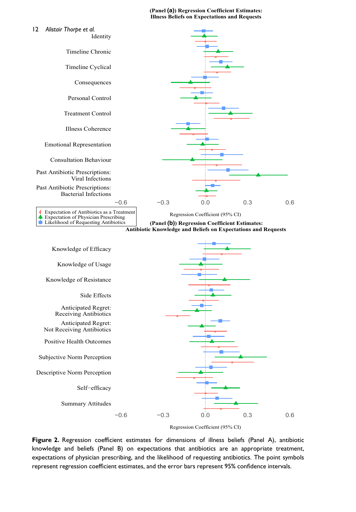**(Panel (a)) Regression Coefficient Estimates: Illness Beliefs on Expectations and Requests**





Figure 2. Regression coefficient estimates for dimensions of illness beliefs (Panel A), antibiotic knowledge and beliefs (Panel B) on expectations that antibiotics are an appropriate treatment, expectations of physician prescribing, and the likelihood of requesting antibiotics. The point symbols represent regression coefficient estimates, and the error bars represent 95% confidence intervals.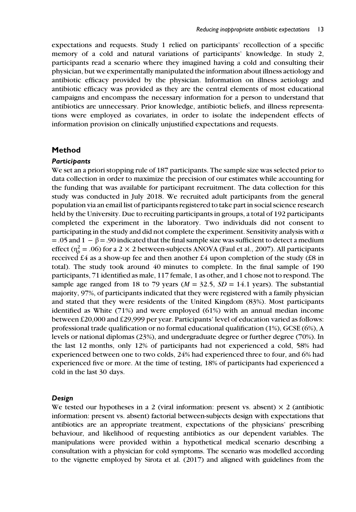expectations and requests. Study 1 relied on participants' recollection of a specific memory of a cold and natural variations of participants' knowledge. In study 2, participants read a scenario where they imagined having a cold and consulting their physician, but we experimentally manipulated the information about illness aetiology and antibiotic efficacy provided by the physician. Information on illness aetiology and antibiotic efficacy was provided as they are the central elements of most educational campaigns and encompass the necessary information for a person to understand that antibiotics are unnecessary. Prior knowledge, antibiotic beliefs, and illness representations were employed as covariates, in order to isolate the independent effects of information provision on clinically unjustified expectations and requests.

## Method

#### **Participants**

We set an a priori stopping rule of 187 participants. The sample size was selected prior to data collection in order to maximize the precision of our estimates while accounting for the funding that was available for participant recruitment. The data collection for this study was conducted in July 2018. We recruited adult participants from the general population via an email list of participants registered to take part in social science research held by the University. Due to recruiting participants in groups, a total of 192 participants completed the experiment in the laboratory. Two individuals did not consent to participating in the study and did not complete the experiment. Sensitivity analysis with  $\alpha$ = .05 and 1 –  $\beta$  = .90 indicated that the final sample size was sufficient to detect a medium effect ( $\eta_p^2$  = .06) for a 2 × 2 between-subjects ANOVA (Faul et al., 2007). All participants received £4 as a show-up fee and then another £4 upon completion of the study (£8 in total). The study took around 40 minutes to complete. In the final sample of 190 participants, 71 identified as male, 117 female, 1 as other, and 1 chose not to respond. The sample age ranged from 18 to 79 years ( $M = 32.5$ ,  $SD = 14.1$  years). The substantial majority, 97%, of participants indicated that they were registered with a family physician and stated that they were residents of the United Kingdom (83%). Most participants identified as White (71%) and were employed (61%) with an annual median income between £20,000 and £29,999 per year. Participants' level of education varied as follows: professional trade qualification or no formal educational qualification (1%), GCSE (6%), A levels or national diplomas (23%), and undergraduate degree or further degree (70%). In the last 12 months, only 12% of participants had not experienced a cold, 58% had experienced between one to two colds, 24% had experienced three to four, and 6% had experienced five or more. At the time of testing, 18% of participants had experienced a cold in the last 30 days.

#### Design

We tested our hypotheses in a 2 (viral information: present vs. absent)  $\times$  2 (antibiotic information: present vs. absent) factorial between-subjects design with expectations that antibiotics are an appropriate treatment, expectations of the physicians' prescribing behaviour, and likelihood of requesting antibiotics as our dependent variables. The manipulations were provided within a hypothetical medical scenario describing a consultation with a physician for cold symptoms. The scenario was modelled according to the vignette employed by Sirota et al. (2017) and aligned with guidelines from the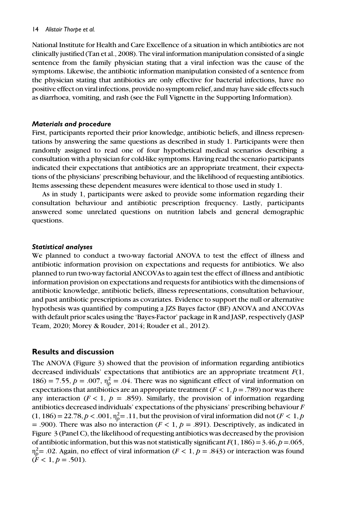#### 14 Alistair Thorpe et al.

National Institute for Health and Care Excellence of a situation in which antibiotics are not clinically justified (Tan et al., 2008). The viral information manipulation consisted of a single sentence from the family physician stating that a viral infection was the cause of the symptoms. Likewise, the antibiotic information manipulation consisted of a sentence from the physician stating that antibiotics are only effective for bacterial infections, have no positive effect on viral infections, provide no symptom relief, and may have side effects such as diarrhoea, vomiting, and rash (see the Full Vignette in the Supporting Information).

#### Materials and procedure

First, participants reported their prior knowledge, antibiotic beliefs, and illness representations by answering the same questions as described in study 1. Participants were then randomly assigned to read one of four hypothetical medical scenarios describing a consultation with a physician for cold-like symptoms. Having read the scenario participants indicated their expectations that antibiotics are an appropriate treatment, their expectations of the physicians' prescribing behaviour, and the likelihood of requesting antibiotics. Items assessing these dependent measures were identical to those used in study 1.

As in study 1, participants were asked to provide some information regarding their consultation behaviour and antibiotic prescription frequency. Lastly, participants answered some unrelated questions on nutrition labels and general demographic questions.

#### Statistical analyses

We planned to conduct a two-way factorial ANOVA to test the effect of illness and antibiotic information provision on expectations and requests for antibiotics. We also planned to run two-way factorial ANCOVAs to again test the effect of illness and antibiotic information provision on expectations and requests for antibiotics with the dimensions of antibiotic knowledge, antibiotic beliefs, illness representations, consultation behaviour, and past antibiotic prescriptions as covariates. Evidence to support the null or alternative hypothesis was quantified by computing a JZS Bayes factor (BF) ANOVA and ANCOVAs with default prior scales using the 'Bayes-Factor' package in R and JASP, respectively (JASP Team, 2020; Morey & Rouder, 2014; Rouder et al., 2012).

## Results and discussion

The ANOVA (Figure 3) showed that the provision of information regarding antibiotics decreased individuals' expectations that antibiotics are an appropriate treatment  $F(1)$ , 186) = 7.55,  $p = .007$ ,  $\eta_p^2 = .04$ . There was no significant effect of viral information on expectations that antibiotics are an appropriate treatment ( $F < 1, p = .789$ ) nor was there any interaction ( $F < 1$ ,  $p = .859$ ). Similarly, the provision of information regarding antibiotics decreased individuals' expectations of the physicians' prescribing behaviour F  $(1, 186) = 22.78, p < .001, \eta_p^2 = .11$ , but the provision of viral information did not ( $F < 1, p$ = .900). There was also no interaction ( $F < 1$ ,  $p = .891$ ). Descriptively, as indicated in Figure 3 (Panel C), the likelihood of requesting antibiotics was decreased by the provision of antibiotic information, but this was not statistically significant  $F(1, 186) = 3.46$ ,  $p = 0.065$ ,  $η<sub>p</sub><sup>2</sup> = .02$ . Again, no effect of viral information ( $F < 1, p = .843$ ) or interaction was found  $(F < 1, p = .501)$ .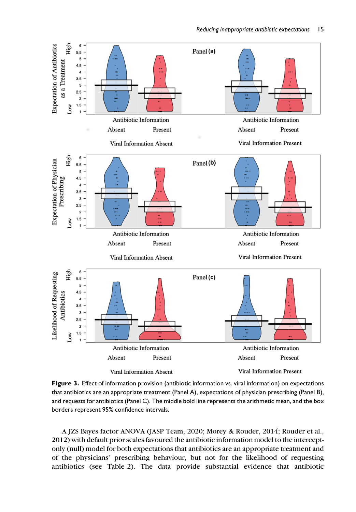



A JZS Bayes factor ANOVA (JASP Team, 2020; Morey & Rouder, 2014; Rouder et al., 2012) with default prior scales favoured the antibiotic information model to the interceptonly (null) model for both expectations that antibiotics are an appropriate treatment and of the physicians' prescribing behaviour, but not for the likelihood of requesting antibiotics (see Table 2). The data provide substantial evidence that antibiotic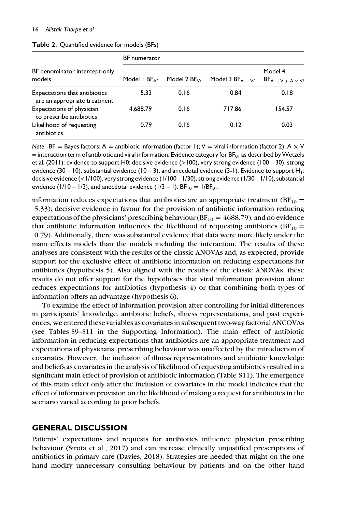| BF denominator intercept-only<br>models                       | <b>BF</b> numerator   |                  |                      |                                      |  |
|---------------------------------------------------------------|-----------------------|------------------|----------------------|--------------------------------------|--|
|                                                               | Model I $BF_{\Delta}$ | Model 2 $BF_{V}$ | Model 3 $BF_{A + V}$ | Model 4<br>$BF_{A + V + A \times V}$ |  |
| Expectations that antibiotics<br>are an appropriate treatment | 5.33                  | 0.16             | 0.84                 | 0.18                                 |  |
| Expectations of physician<br>to prescribe antibiotics         | 4,688.79              | 0.16             | 717.86               | 154.57                               |  |
| Likelihood of requesting<br>antibiotics                       | 0.79                  | 0.16             | 0.12                 | 0.03                                 |  |

Table 2. Quantified evidence for models (BFs)

Note. BF = Bayes factors; A = antibiotic information (factor 1); V = viral information (factor 2); A  $\times$  V  $=$  interaction term of antibiotic and viral information. Evidence category for BF<sub>01</sub> as described by Wetzels et al. (2011): evidence to support H0: decisive evidence (>100), very strong evidence (100 – 30), strong evidence (30 – 10), substantial evidence (10 – 3), and anecdotal evidence (3-1). Evidence to support  $H_1$ : decisive evidence (<1/100), very strong evidence (1/100 – 1/30), strong evidence (1/30 – 1/10), substantial evidence (1/10 – 1/3), and anecdotal evidence (1/3 – 1).  $BF_{10} = 1/BF_{01}$ .

information reduces expectations that antibiotics are an appropriate treatment ( $BF_{10}$  = 5.33); decisive evidence in favour for the provision of antibiotic information reducing expectations of the physicians' prescribing behaviour ( $BF_{10} = 4688.79$ ); and no evidence that antibiotic information influences the likelihood of requesting antibiotics ( $BF_{10}$  = 0.79). Additionally, there was substantial evidence that data were more likely under the main effects models than the models including the interaction. The results of these analyses are consistent with the results of the classic ANOVAs and, as expected, provide support for the exclusive effect of antibiotic information on reducing expectations for antibiotics (hypothesis 5). Also aligned with the results of the classic ANOVAs, these results do not offer support for the hypotheses that viral information provision alone reduces expectations for antibiotics (hypothesis 4) or that combining both types of information offers an advantage (hypothesis 6).

To examine the effect of information provision after controlling for initial differences in participants' knowledge, antibiotic beliefs, illness representations, and past experiences, we entered these variables as covariates in subsequent two-way factorial ANCOVAs (see Tables S9–S11 in the Supporting Information). The main effect of antibiotic information in reducing expectations that antibiotics are an appropriate treatment and expectations of physicians' prescribing behaviour was unaffected by the introduction of covariates. However, the inclusion of illness representations and antibiotic knowledge and beliefs as covariates in the analysis of likelihood of requesting antibiotics resulted in a significant main effect of provision of antibiotic information (Table S11). The emergence of this main effect only after the inclusion of covariates in the model indicates that the effect of information provision on the likelihood of making a request for antibiotics in the scenario varied according to prior beliefs.

# GENERAL DISCUSSION

Patients' expectations and requests for antibiotics influence physician prescribing behaviour (Sirota et al., 2017) and can increase clinically unjustified prescriptions of antibiotics in primary care (Davies, 2018). Strategies are needed that might on the one hand modify unnecessary consulting behaviour by patients and on the other hand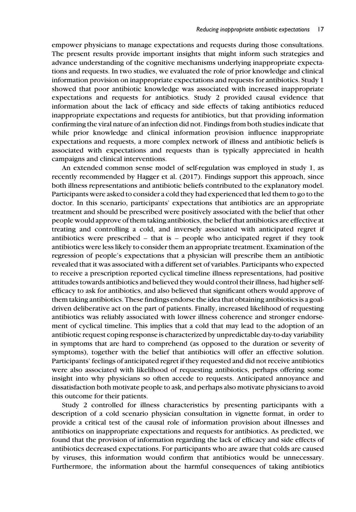empower physicians to manage expectations and requests during those consultations. The present results provide important insights that might inform such strategies and advance understanding of the cognitive mechanisms underlying inappropriate expectations and requests. In two studies, we evaluated the role of prior knowledge and clinical information provision on inappropriate expectations and requests for antibiotics. Study 1 showed that poor antibiotic knowledge was associated with increased inappropriate expectations and requests for antibiotics. Study 2 provided causal evidence that information about the lack of efficacy and side effects of taking antibiotics reduced inappropriate expectations and requests for antibiotics, but that providing information confirming the viral nature of an infection did not. Findings from both studies indicate that while prior knowledge and clinical information provision influence inappropriate expectations and requests, a more complex network of illness and antibiotic beliefs is associated with expectations and requests than is typically appreciated in health campaigns and clinical interventions.

An extended common sense model of self-regulation was employed in study 1, as recently recommended by Hagger et al. (2017). Findings support this approach, since both illness representations and antibiotic beliefs contributed to the explanatory model. Participants were asked to consider a cold they had experienced that led them to go to the doctor. In this scenario, participants' expectations that antibiotics are an appropriate treatment and should be prescribed were positively associated with the belief that other people would approve of them taking antibiotics, the belief that antibiotics are effective at treating and controlling a cold, and inversely associated with anticipated regret if antibiotics were prescribed  $-$  that is  $-$  people who anticipated regret if they took antibiotics were less likely to consider them an appropriate treatment. Examination of the regression of people's expectations that a physician will prescribe them an antibiotic revealed that it was associated with a different set of variables. Participants who expected to receive a prescription reported cyclical timeline illness representations, had positive attitudes towards antibiotics and believed they would control their illness, had higher selfefficacy to ask for antibiotics, and also believed that significant others would approve of them taking antibiotics. These findings endorse the idea that obtaining antibiotics is a goaldriven deliberative act on the part of patients. Finally, increased likelihood of requesting antibiotics was reliably associated with lower illness coherence and stronger endorsement of cyclical timeline. This implies that a cold that may lead to the adoption of an antibiotic request coping response is characterized by unpredictable day-to-day variability in symptoms that are hard to comprehend (as opposed to the duration or severity of symptoms), together with the belief that antibiotics will offer an effective solution. Participants' feelings of anticipated regret if they requested and did not receive antibiotics were also associated with likelihood of requesting antibiotics, perhaps offering some insight into why physicians so often accede to requests. Anticipated annoyance and dissatisfaction both motivate people to ask, and perhaps also motivate physicians to avoid this outcome for their patients.

Study 2 controlled for illness characteristics by presenting participants with a description of a cold scenario physician consultation in vignette format, in order to provide a critical test of the causal role of information provision about illnesses and antibiotics on inappropriate expectations and requests for antibiotics. As predicted, we found that the provision of information regarding the lack of efficacy and side effects of antibiotics decreased expectations. For participants who are aware that colds are caused by viruses, this information would confirm that antibiotics would be unnecessary. Furthermore, the information about the harmful consequences of taking antibiotics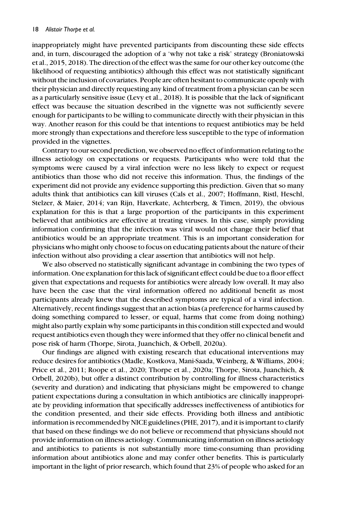inappropriately might have prevented participants from discounting these side effects and, in turn, discouraged the adoption of a 'why not take a risk' strategy (Broniatowski et al., 2015, 2018). The direction of the effect was the same for our other key outcome (the likelihood of requesting antibiotics) although this effect was not statistically significant without the inclusion of covariates. People are often hesitant to communicate openly with their physician and directly requesting any kind of treatment from a physician can be seen as a particularly sensitive issue (Levy et al., 2018). It is possible that the lack of significant effect was because the situation described in the vignette was not sufficiently severe enough for participants to be willing to communicate directly with their physician in this way. Another reason for this could be that intentions to request antibiotics may be held more strongly than expectations and therefore less susceptible to the type of information provided in the vignettes.

Contrary to our second prediction, we observed no effect of information relating to the illness aetiology on expectations or requests. Participants who were told that the symptoms were caused by a viral infection were no less likely to expect or request antibiotics than those who did not receive this information. Thus, the findings of the experiment did not provide any evidence supporting this prediction. Given that so many adults think that antibiotics can kill viruses (Cals et al., 2007; Hoffmann, Ristl, Heschl, Stelzer, & Maier, 2014; van Rijn, Haverkate, Achterberg, & Timen, 2019), the obvious explanation for this is that a large proportion of the participants in this experiment believed that antibiotics are effective at treating viruses. In this case, simply providing information confirming that the infection was viral would not change their belief that antibiotics would be an appropriate treatment. This is an important consideration for physicians who might only choose to focus on educating patients about the nature of their infection without also providing a clear assertion that antibiotics will not help.

We also observed no statistically significant advantage in combining the two types of information. One explanation for this lack of significant effect could be due to a floor effect given that expectations and requests for antibiotics were already low overall. It may also have been the case that the viral information offered no additional benefit as most participants already knew that the described symptoms are typical of a viral infection. Alternatively, recent findings suggest that an action bias (a preference for harms caused by doing something compared to lesser, or equal, harms that come from doing nothing) might also partly explain why some participants in this condition still expected and would request antibiotics even though they were informed that they offer no clinical benefit and pose risk of harm (Thorpe, Sirota, Juanchich, & Orbell, 2020a).

Our findings are aligned with existing research that educational interventions may reduce desires for antibiotics (Madle, Kostkova, Mani-Saada, Weinberg, & Williams, 2004; Price et al., 2011; Roope et al., 2020; Thorpe et al., 2020a; Thorpe, Sirota, Juanchich, & Orbell, 2020b), but offer a distinct contribution by controlling for illness characteristics (severity and duration) and indicating that physicians might be empowered to change patient expectations during a consultation in which antibiotics are clinically inappropriate by providing information that specifically addresses ineffectiveness of antibiotics for the condition presented, and their side effects. Providing both illness and antibiotic information is recommended by NICE guidelines (PHE, 2017), and it is important to clarify that based on these findings we do not believe or recommend that physicians should not provide information on illness aetiology. Communicating information on illness aetiology and antibiotics to patients is not substantially more time-consuming than providing information about antibiotics alone and may confer other benefits. This is particularly important in the light of prior research, which found that 23% of people who asked for an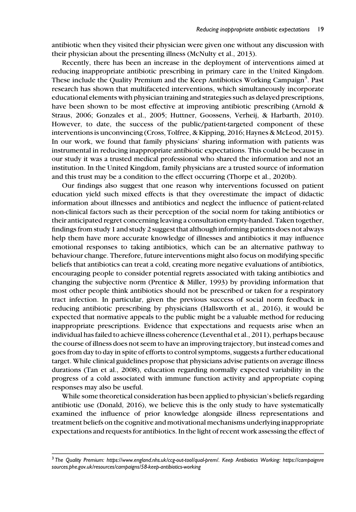antibiotic when they visited their physician were given one without any discussion with their physician about the presenting illness (McNulty et al., 2013).

Recently, there has been an increase in the deployment of interventions aimed at reducing inappropriate antibiotic prescribing in primary care in the United Kingdom. These include the Quality Premium and the Keep Antibiotics Working Campaign<sup>3</sup>. Past research has shown that multifaceted interventions, which simultaneously incorporate educational elements with physician training and strategies such as delayed prescriptions, have been shown to be most effective at improving antibiotic prescribing (Arnold & Straus, 2006; Gonzales et al., 2005; Huttner, Goossens, Verheij, & Harbarth, 2010). However, to date, the success of the public/patient-targeted component of these interventions is unconvincing (Cross, Tolfree, & Kipping, 2016; Haynes & McLeod, 2015). In our work, we found that family physicians' sharing information with patients was instrumental in reducing inappropriate antibiotic expectations. This could be because in our study it was a trusted medical professional who shared the information and not an institution. In the United Kingdom, family physicians are a trusted source of information and this trust may be a condition to the effect occurring (Thorpe et al., 2020b).

Our findings also suggest that one reason why interventions focussed on patient education yield such mixed effects is that they overestimate the impact of didactic information about illnesses and antibiotics and neglect the influence of patient-related non-clinical factors such as their perception of the social norm for taking antibiotics or their anticipated regret concerning leaving a consultation empty-handed. Taken together, findings from study 1 and study 2 suggest that although informing patients does not always help them have more accurate knowledge of illnesses and antibiotics it may influence emotional responses to taking antibiotics, which can be an alternative pathway to behaviour change. Therefore, future interventions might also focus on modifying specific beliefs that antibiotics can treat a cold, creating more negative evaluations of antibiotics, encouraging people to consider potential regrets associated with taking antibiotics and changing the subjective norm (Prentice & Miller, 1993) by providing information that most other people think antibiotics should not be prescribed or taken for a respiratory tract infection. In particular, given the previous success of social norm feedback in reducing antibiotic prescribing by physicians (Hallsworth et al., 2016), it would be expected that normative appeals to the public might be a valuable method for reducing inappropriate prescriptions. Evidence that expectations and requests arise when an individual has failed to achieve illness coherence (Leventhal et al., 2011), perhaps because the course of illness does not seem to have an improving trajectory, but instead comes and goes from day to day in spite of efforts to control symptoms, suggests a further educational target. While clinical guidelines propose that physicians advise patients on average illness durations (Tan et al., 2008), education regarding normally expected variability in the progress of a cold associated with immune function activity and appropriate coping responses may also be useful.

While some theoretical consideration has been applied to physician's beliefs regarding antibiotic use (Donald, 2016), we believe this is the only study to have systematically examined the influence of prior knowledge alongside illness representations and treatment beliefs on the cognitive and motivational mechanisms underlying inappropriate expectations and requests for antibiotics. In the light of recent work assessing the effect of

<sup>3</sup> The Quality Premium: [https://www.england.nhs.uk/ccg-out-tool/qual-prem/.](https://www.england.nhs.uk/ccg-out-tool/qual-prem/) Keep Antibiotics Working: [https://campaignre](https://campaignresources.phe.gov.uk/resources/campaigns/58-keep-antibiotics-working) [sources.phe.gov.uk/resources/campaigns/58-keep-antibiotics-working](https://campaignresources.phe.gov.uk/resources/campaigns/58-keep-antibiotics-working)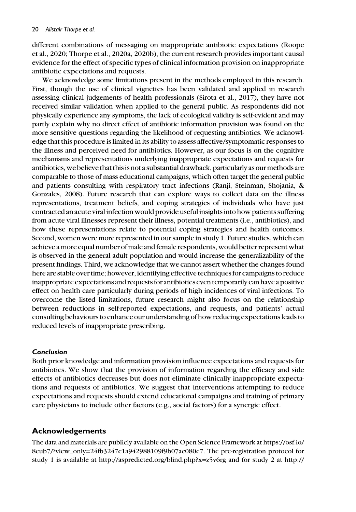different combinations of messaging on inappropriate antibiotic expectations (Roope et al., 2020; Thorpe et al., 2020a, 2020b), the current research provides important causal evidence for the effect of specific types of clinical information provision on inappropriate antibiotic expectations and requests.

We acknowledge some limitations present in the methods employed in this research. First, though the use of clinical vignettes has been validated and applied in research assessing clinical judgements of health professionals (Sirota et al., 2017), they have not received similar validation when applied to the general public. As respondents did not physically experience any symptoms, the lack of ecological validity is self-evident and may partly explain why no direct effect of antibiotic information provision was found on the more sensitive questions regarding the likelihood of requesting antibiotics. We acknowledge that this procedure is limited in its ability to assess affective/symptomatic responses to the illness and perceived need for antibiotics. However, as our focus is on the cognitive mechanisms and representations underlying inappropriate expectations and requests for antibiotics, we believe that this is not a substantial drawback, particularly as ourmethods are comparable to those of mass educational campaigns, which often target the general public and patients consulting with respiratory tract infections (Ranji, Steinman, Shojania, & Gonzales, 2008). Future research that can explore ways to collect data on the illness representations, treatment beliefs, and coping strategies of individuals who have just contracted an acute viral infection would provide useful insights into how patients suffering from acute viral illnesses represent their illness, potential treatments (i.e., antibiotics), and how these representations relate to potential coping strategies and health outcomes. Second, women were more represented in our sample in study 1. Future studies, which can achieve a more equal number of male and female respondents, would better represent what is observed in the general adult population and would increase the generalizability of the present findings. Third, we acknowledge that we cannot assert whether the changes found here are stable over time; however, identifying effective techniques for campaigns to reduce inappropriate expectations and requests for antibiotics even temporarily can have a positive effect on health care particularly during periods of high incidences of viral infections. To overcome the listed limitations, future research might also focus on the relationship between reductions in self-reported expectations, and requests, and patients' actual consulting behaviours to enhance our understanding of how reducing expectations leads to reduced levels of inappropriate prescribing.

# Conclusion

Both prior knowledge and information provision influence expectations and requests for antibiotics. We show that the provision of information regarding the efficacy and side effects of antibiotics decreases but does not eliminate clinically inappropriate expectations and requests of antibiotics. We suggest that interventions attempting to reduce expectations and requests should extend educational campaigns and training of primary care physicians to include other factors (e.g., social factors) for a synergic effect.

# Acknowledgements

The data and materials are publicly available on the Open Science Framework at [https://osf.io/](https://osf.io/8eub7/?view_only=24fb3247c1a942988109f9b07ac080e7) [8eub7/?view\\_only=24fb3247c1a942988109f9b07ac080e7.](https://osf.io/8eub7/?view_only=24fb3247c1a942988109f9b07ac080e7) The pre-registration protocol for study 1 is available at<http://aspredicted.org/blind.php?x=z5v6rg> and for study 2 at [http://](http://aspredicted.org/blind.php?x=45tj4w)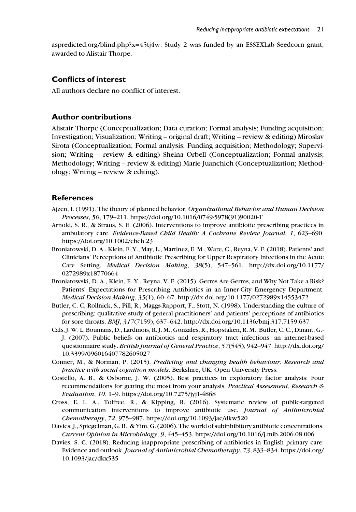[aspredicted.org/blind.php?x=45tj4w](http://aspredicted.org/blind.php?x=45tj4w). Study 2 was funded by an ESSEXLab Seedcorn grant, awarded to Alistair Thorpe.

## Conflicts of interest

All authors declare no conflict of interest.

# Author contributions

Alistair Thorpe (Conceptualization; Data curation; Formal analysis; Funding acquisition; Investigation; Visualization; Writing – original draft; Writing – review & editing) Miroslav Sirota (Conceptualization; Formal analysis; Funding acquisition; Methodology; Supervision; Writing – review & editing) Sheina Orbell (Conceptualization; Formal analysis; Methodology; Writing – review & editing) Marie Juanchich (Conceptualization; Methodology; Writing – review & editing).

# **References**

- Ajzen, I. (1991). The theory of planned behavior. Organizational Behavior and Human Decision Processes, 50, 179–211. [https://doi.org/10.1016/0749-5978\(91\)90020-T](https://doi.org/10.1016/0749-5978(91)90020-T)
- Arnold, S. R., & Straus, S. E. (2006). Interventions to improve antibiotic prescribing practices in ambulatory care. Evidence-Based Child Health: A Cochrane Review Journal, 1, 623–690. <https://doi.org/10.1002/ebch.23>
- Broniatowski, D. A., Klein, E. Y., May, L., Martinez, E. M., Ware, C., Reyna, V. F. (2018). Patients' and Clinicians' Perceptions of Antibiotic Prescribing for Upper Respiratory Infections in the Acute Care Setting. Medical Decision Making, 38(5), 547–561. [http://dx.doi.org/10.1177/](http://dx.doi.org/10.1177/0272989x18770664) [0272989x18770664](http://dx.doi.org/10.1177/0272989x18770664)
- Broniatowski, D. A., Klein, E. Y., Reyna, V. F. (2015). Germs Are Germs, and Why Not Take a Risk? Patients' Expectations for Prescribing Antibiotics in an Inner-City Emergency Department. Medical Decision Making, 35(1), 60–67.<http://dx.doi.org/10.1177/0272989x14553472>
- Butler, C. C, Rollnick, S., Pill, R., Maggs-Rapport, F., Stott, N. (1998). Understanding the culture of prescribing: qualitative study of general practitioners' and patients' perceptions of antibiotics for sore throats. BMJ, 317(7159), 637–642.<http://dx.doi.org/10.1136/bmj.317.7159.637>
- Cals, J. W. L, Boumans, D., Lardinois, R. J. M., Gonzales, R., Hopstaken, R. M., Butler, C. C., Dinant, G.- J. (2007). Public beliefs on antibiotics and respiratory tract infections: an internet-based questionnaire study. British Journal of General Practice, 57(545), 942–947. [http://dx.doi.org/](http://dx.doi.org/10.3399/096016407782605027) [10.3399/096016407782605027](http://dx.doi.org/10.3399/096016407782605027)
- Conner, M., & Norman, P. (2015). Predicting and changing health behaviour: Research and practice with social cognition models. Berkshire, UK: Open University Press.
- Costello, A. B., & Osborne, J. W. (2005). Best practices in exploratory factor analysis: Four recommendations for getting the most from your analysis. Practical Assessment, Research  $\epsilon$ Evaluation, 10, 1–9.<https://doi.org/10.7275/jyj1-4868>
- Cross, E. L. A., Tolfree, R., & Kipping, R. (2016). Systematic review of public-targeted communication interventions to improve antibiotic use. Journal of Antimicrobial Chemotherapy, 72, 975–987.<https://doi.org/10.1093/jac/dkw520>
- Davies, J., Spiegelman, G. B., & Yim, G. (2006). The world of subinhibitory antibiotic concentrations. Current Opinion in Microbiology, 9, 445–453.<https://doi.org/10.1016/j.mib.2006.08.006>
- Davies, S. C. (2018). Reducing inappropriate prescribing of antibiotics in English primary care: Evidence and outlook. Journal of Antimicrobial Chemotherapy, 73, 833–834. [https://doi.org/](https://doi.org/10.1093/jac/dkx535) [10.1093/jac/dkx535](https://doi.org/10.1093/jac/dkx535)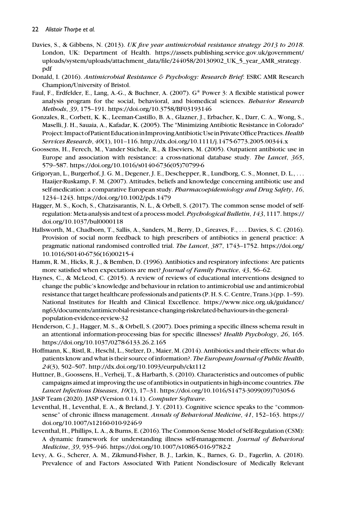- Davies, S., & Gibbens, N. (2013). UK five year antimicrobial resistance strategy 2013 to 2018. London, UK: Department of Health. [https://assets.publishing.service.gov.uk/government/](https://assets.publishing.service.gov.uk/government/uploads/system/uploads/attachment_data/file/244058/20130902_UK_5_year_AMR_strategy.pdf) [uploads/system/uploads/attachment\\_data/file/244058/20130902\\_UK\\_5\\_year\\_AMR\\_strategy.](https://assets.publishing.service.gov.uk/government/uploads/system/uploads/attachment_data/file/244058/20130902_UK_5_year_AMR_strategy.pdf) [pdf](https://assets.publishing.service.gov.uk/government/uploads/system/uploads/attachment_data/file/244058/20130902_UK_5_year_AMR_strategy.pdf)
- Donald, I. (2016). Antimicrobial Resistance & Psychology: Research Brief: ESRC AMR Research Champion/University of Bristol.
- Faul, F., Erdfelder, E., Lang, A.-G., & Buchner, A. (2007). G\* Power 3: A flexible statistical power analysis program for the social, behavioral, and biomedical sciences. Behavior Research Methods, 39, 175–191.<https://doi.org/10.3758/BF03193146>
- Gonzales, R., Corbett, K. K., Leeman-Castillo, B. A., Glazner, J., Erbacher, K., Darr, C. A., Wong, S., Maselli, J. H., Sauaia, A., Kafadar, K. (2005). The "Minimizing Antibiotic Resistance in Colorado" Project: Impact of Patient Education in Improving Antibiotic Use in Private Office Practices. Health Services Research, 40(1), 101–116.<http://dx.doi.org/10.1111/j.1475-6773.2005.00344.x>
- Goossens, H., Ferech, M., Vander Stichele, R., & Elseviers, M. (2005). Outpatient antibiotic use in Europe and association with resistance: a cross-national database study. The Lancet, 365, 579–587. [https://doi.org/10.1016/s0140-6736\(05\)70799-6](https://doi.org/10.1016/s0140-6736(05)70799-6)
- Grigoryan, L., Burgerhof, J. G. M., Degener, J. E., Deschepper, R., Lundborg, C. S., Monnet, D. L., ... Haaijer-Ruskamp, F. M. (2007). Attitudes, beliefs and knowledge concerning antibiotic use and self-medication: a comparative European study. Pharmacoepidemiology and Drug Safety, 16, 1234–1243.<https://doi.org/10.1002/pds.1479>
- Hagger, M. S., Koch, S., Chatzisarantis, N. L., & Orbell, S. (2017). The common sense model of selfregulation: Meta-analysis and test of a process model. Psychological Bulletin, 143, 1117. [https://](https://doi.org/10.1037/bul0000118) [doi.org/10.1037/bul0000118](https://doi.org/10.1037/bul0000118)
- Hallsworth, M., Chadborn, T., Sallis, A., Sanders, M., Berry, D., Greaves, F., ... Davies, S. C. (2016). Provision of social norm feedback to high prescribers of antibiotics in general practice: A pragmatic national randomised controlled trial. The Lancet, 387, 1743–1752. [https://doi.org/](https://doi.org/10.1016/S0140-6736(16)00215-4) [10.1016/S0140-6736\(16\)00215-4](https://doi.org/10.1016/S0140-6736(16)00215-4)
- Hamm, R. M., Hicks, R. J., & Bemben, D. (1996). Antibiotics and respiratory infections: Are patients more satisfied when expectations are met? Journal of Family Practice, 43, 56–62.
- Haynes, C., & McLeod, C. (2015). A review of reviews of educational interventions designed to change the public's knowledge and behaviour in relation to antimicrobial use and antimicrobial resistance that target healthcare professionals and patients (P. H. S. C. Centre, Trans.) (pp. 1–59). National Institutes for Health and Clinical Excellence. [https://www.nice.org.uk/guidance/](https://www.nice.org.uk/guidance/ng63/documents/antimicrobial-resistance-changing-riskrelated-behaviours-in-the-general-population-evidence-review-32) [ng63/documents/antimicrobial-resistance-changing-riskrelated-behaviours-in-the-general](https://www.nice.org.uk/guidance/ng63/documents/antimicrobial-resistance-changing-riskrelated-behaviours-in-the-general-population-evidence-review-32)[population-evidence-review-32](https://www.nice.org.uk/guidance/ng63/documents/antimicrobial-resistance-changing-riskrelated-behaviours-in-the-general-population-evidence-review-32)
- Henderson, C. J., Hagger, M. S., & Orbell, S. (2007). Does priming a specific illness schema result in an attentional information-processing bias for specific illnesses? Health Psychology, 26, 165. <https://doi.org/10.1037/0278-6133.26.2.165>
- Hoffmann, K., Ristl, R., Heschl, L., Stelzer, D., Maier, M. (2014). Antibiotics and their effects: what do patients know and what is their source of information?. The European Journal of Public Health, 24(3), 502–507.<http://dx.doi.org/10.1093/eurpub/ckt112>
- Huttner, B., Goossens, H., Verheij, T., & Harbarth, S. (2010). Characteristics and outcomes of public campaigns aimed at improving the use of antibiotics in outpatients in high-income countries. The Lancet Infectious Diseases, 10(1), 17–31. [https://doi.org/10.1016/S1473-3099\(09\)70305-6](https://doi.org/10.1016/S1473-3099(09)70305-6) JASP Team (2020). JASP (Version 0.14.1). Computer Software.
- Leventhal, H., Leventhal, E. A., & Breland, J. Y. (2011). Cognitive science speaks to the "commonsense" of chronic illness management. Annals of Behavioral Medicine, 41, 152–163. [https://](https://doi.org/10.1007/s12160-010-9246-9) [doi.org/10.1007/s12160-010-9246-9](https://doi.org/10.1007/s12160-010-9246-9)
- Leventhal, H., Phillips, L. A., & Burns, E. (2016). The Common-Sense Model of Self-Regulation (CSM): A dynamic framework for understanding illness self-management. Journal of Behavioral Medicine, 39, 935–946.<https://doi.org/10.1007/s10865-016-9782-2>
- Levy, A. G., Scherer, A. M., Zikmund-Fisher, B. J., Larkin, K., Barnes, G. D., Fagerlin, A. (2018). Prevalence of and Factors Associated With Patient Nondisclosure of Medically Relevant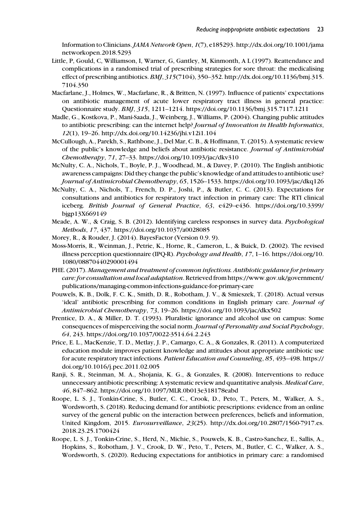Information to Clinicians. JAMA Network Open, 1(7), e185293. [http://dx.doi.org/10.1001/jama](http://dx.doi.org/10.1001/jamanetworkopen.2018.5293) [networkopen.2018.5293](http://dx.doi.org/10.1001/jamanetworkopen.2018.5293)

- Little, P, Gould, C, Williamson, I, Warner, G, Gantley, M, Kinmonth, A L (1997). Reattendance and complications in a randomised trial of prescribing strategies for sore throat: the medicalising effect of prescribing antibiotics. BMJ, 315(7104), 350–352. [http://dx.doi.org/10.1136/bmj.315.](http://dx.doi.org/10.1136/bmj.315.7104.350) [7104.350](http://dx.doi.org/10.1136/bmj.315.7104.350)
- Macfarlane, J., Holmes, W., Macfarlane, R., & Britten, N. (1997). Influence of patients' expectations on antibiotic management of acute lower respiratory tract illness in general practice: Questionnaire study. BMJ, 315, 1211–1214.<https://doi.org/10.1136/bmj.315.7117.1211>
- Madle, G., Kostkova, P., Mani-Saada, J., Weinberg, J., Williams, P. (2004). Changing public attitudes to antibiotic prescribing: can the internet help? Journal of Innovation in Health Informatics, 12(1), 19–26.<http://dx.doi.org/10.14236/jhi.v12i1.104>
- McCullough, A., Parekh, S., Rathbone, J., Del Mar, C. B., & Hoffmann, T. (2015). A systematic review of the public's knowledge and beliefs about antibiotic resistance. Journal of Antimicrobial Chemotherapy, 71, 27–33.<https://doi.org/10.1093/jac/dkv310>
- McNulty, C. A., Nichols, T., Boyle, P. J., Woodhead, M., & Davey, P. (2010). The English antibiotic awareness campaigns: Did they change the public's knowledge of and attitudes to antibiotic use? Journal of Antimicrobial Chemotherapy, 65, 1526–1533.<https://doi.org/10.1093/jac/dkq126>
- McNulty, C. A., Nichols, T., French, D. P., Joshi, P., & Butler, C. C. (2013). Expectations for consultations and antibiotics for respiratory tract infection in primary care: The RTI clinical iceberg. British Journal of General Practice, 63, e429–e436. [https://doi.org/10.3399/](https://doi.org/10.3399/bjgp13X669149) [bjgp13X669149](https://doi.org/10.3399/bjgp13X669149)
- Meade, A. W., & Craig, S. B. (2012). Identifying careless responses in survey data. Psychological Methods, 17, 437.<https://doi.org/10.1037/a0028085>
- Morey, R., & Rouder, J. (2014). BayesFactor (Version 0.9. 9).
- Moss-Morris, R., Weinman, J., Petrie, K., Horne, R., Cameron, L., & Buick, D. (2002). The revised illness perception questionnaire (IPQ-R). Psychology and Health, 17, 1–16. [https://doi.org/10.](https://doi.org/10.1080/08870440290001494) [1080/08870440290001494](https://doi.org/10.1080/08870440290001494)
- PHE. (2017). Management and treatment of common infections. Antibiotic guidance for primary care: for consultation and local adaptation. Retrieved from [https://www.gov.uk/government/](https://www.gov.uk/government/publications/managing-common-infections-guidance-for-primary-care) [publications/managing-common-infections-guidance-for-primary-care](https://www.gov.uk/government/publications/managing-common-infections-guidance-for-primary-care)
- Pouwels, K. B., Dolk, F. C. K., Smith, D. R., Robotham, J. V., & Smieszek, T. (2018). Actual versus 'ideal' antibiotic prescribing for common conditions in English primary care. Journal of Antimicrobial Chemotherapy, 73, 19–26.<https://doi.org/10.1093/jac/dkx502>
- Prentice, D. A., & Miller, D. T. (1993). Pluralistic ignorance and alcohol use on campus: Some consequences of misperceiving the social norm. Journal of Personality and Social Psychology, 64, 243.<https://doi.org/10.1037/0022-3514.64.2.243>
- Price, E. L., MacKenzie, T. D., Metlay, J. P., Camargo, C. A., & Gonzales, R. (2011). A computerized education module improves patient knowledge and attitudes about appropriate antibiotic use for acute respiratory tract infections. Patient Education and Counseling, 85, 493–498. [https://](https://doi.org/10.1016/j.pec.2011.02.005) [doi.org/10.1016/j.pec.2011.02.005](https://doi.org/10.1016/j.pec.2011.02.005)
- Ranji, S. R., Steinman, M. A., Shojania, K. G., & Gonzales, R. (2008). Interventions to reduce unnecessary antibiotic prescribing: A systematic review and quantitative analysis. Medical Care, 46, 847–862.<https://doi.org/10.1097/MLR.0b013e318178eabd>
- Roope, L. S. J., Tonkin-Crine, S., Butler, C. C., Crook, D., Peto, T., Peters, M., Walker, A. S., Wordsworth, S. (2018). Reducing demand for antibiotic prescriptions: evidence from an online survey of the general public on the interaction between preferences, beliefs and information, United Kingdom, 2015. Eurosurveillance, 23(25). [http://dx.doi.org/10.2807/1560-7917.es.](http://dx.doi.org/10.2807/1560-7917.es.2018.23.25.1700424) [2018.23.25.1700424](http://dx.doi.org/10.2807/1560-7917.es.2018.23.25.1700424)
- Roope, L. S. J., Tonkin-Crine, S., Herd, N., Michie, S., Pouwels, K. B., Castro-Sanchez, E., Sallis, A., Hopkins, S., Robotham, J. V., Crook, D. W., Peto, T., Peters, M., Butler, C. C., Walker, A. S., Wordsworth, S. (2020). Reducing expectations for antibiotics in primary care: a randomised